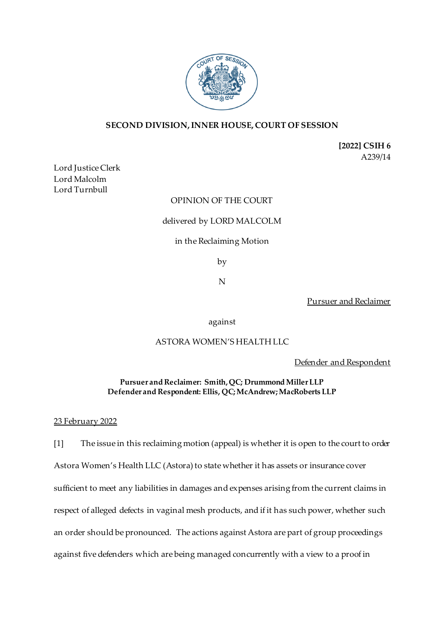

# **SECOND DIVISION, INNER HOUSE, COURT OF SESSION**

**[2022] CSIH 6** A239/14

Lord Justice Clerk Lord Malcolm Lord Turnbull

## OPINION OF THE COURT

#### delivered by LORD MALCOLM

#### in the Reclaiming Motion

by

N

Pursuer and Reclaimer

against

## ASTORA WOMEN'S HEALTH LLC

Defender and Respondent

### **Pursuer and Reclaimer: Smith, QC; Drummond Miller LLP Defender and Respondent: Ellis, QC; McAndrew; MacRoberts LLP**

#### 23 February 2022

[1] The issue in this reclaiming motion (appeal) is whether it is open to the court to order Astora Women's Health LLC (Astora) to state whether it has assets or insurance cover sufficient to meet any liabilities in damages and expenses arising from the current claims in respect of alleged defects in vaginal mesh products, and if it has such power, whether such an order should be pronounced. The actions against Astora are part of group proceedings against five defenders which are being managed concurrently with a view to a proof in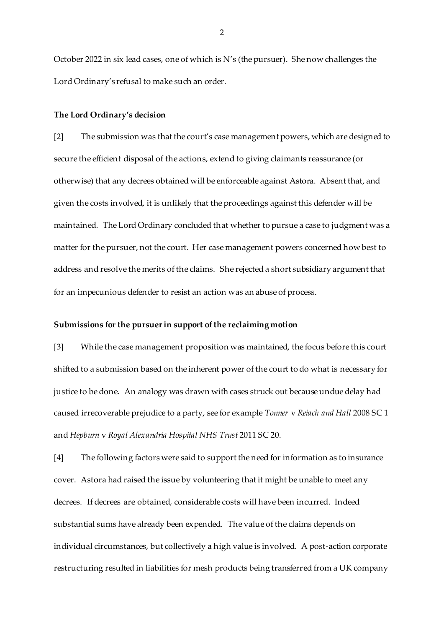October 2022 in six lead cases, one of which is N's (the pursuer). She now challenges the Lord Ordinary's refusal to make such an order.

#### **The Lord Ordinary's decision**

[2] The submission was that the court's case management powers, which are designed to secure the efficient disposal of the actions, extend to giving claimants reassurance (or otherwise) that any decrees obtained will be enforceable against Astora. Absent that, and given the costs involved, it is unlikely that the proceedings against this defender will be maintained. The Lord Ordinary concluded that whether to pursue a case to judgment was a matter for the pursuer, not the court. Her case management powers concerned how best to address and resolve the merits of the claims. She rejected a short subsidiary argument that for an impecunious defender to resist an action was an abuse of process.

#### **Submissions for the pursuer in support of the reclaiming motion**

[3] While the case management proposition was maintained, the focus before this court shifted to a submission based on the inherent power of the court to do what is necessary for justice to be done. An analogy was drawn with cases struck out because undue delay had caused irrecoverable prejudice to a party, see for example *Tonner* v *Reiach and Hall* 2008 SC 1 and *Hepburn* v *Royal Alexandria Hospital NHS Trust* 2011 SC 20.

[4] The following factors were said to support the need for information as to insurance cover. Astora had raised the issue by volunteering that it might be unable to meet any decrees. If decrees are obtained, considerable costs will have been incurred. Indeed substantial sums have already been expended. The value of the claims depends on individual circumstances, but collectively a high value is involved. A post-action corporate restructuring resulted in liabilities for mesh products being transferred from a UK company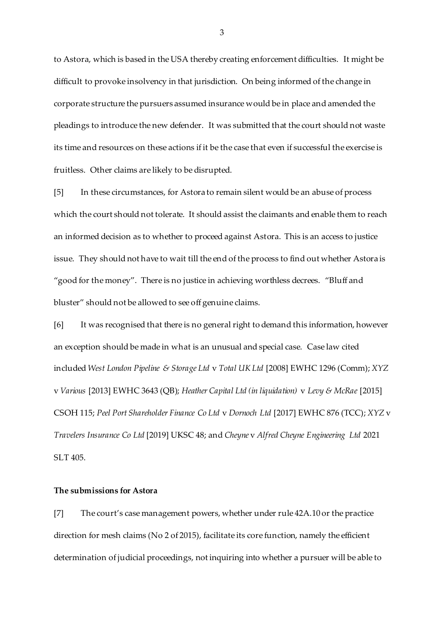to Astora, which is based in the USA thereby creating enforcement difficulties. It might be difficult to provoke insolvency in that jurisdiction. On being informed of the change in corporate structure the pursuers assumed insurance would be in place and amended the pleadings to introduce the new defender. It was submitted that the court should not waste its time and resources on these actions if it be the case that even if successful the exercise is fruitless. Other claims are likely to be disrupted.

[5] In these circumstances, for Astora to remain silent would be an abuse of process which the court should not tolerate. It should assist the claimants and enable them to reach an informed decision as to whether to proceed against Astora. This is an access to justice issue. They should not have to wait till the end of the process to find out whether Astora is "good for the money". There is no justice in achieving worthless decrees. "Bluff and bluster" should not be allowed to see off genuine claims.

[6] It was recognised that there is no general right to demand this information, however an exception should be made in what is an unusual and special case. Case law cited included *West London Pipeline & Storage Ltd* v *Total UK Ltd* [2008] EWHC 1296 (Comm); *XYZ* v *Various* [2013] EWHC 3643 (QB); *Heather Capital Ltd (in liquidation)* v *Levy & McRae* [2015] CSOH 115; *Peel Port Shareholder Finance Co Ltd* v *Dornoch Ltd* [2017] EWHC 876 (TCC); *XYZ* v *Travelers Insurance Co Ltd* [2019] UKSC 48; and *Cheyne* v *Alfred Cheyne Engineering Ltd* 2021 SLT 405.

#### **The submissions for Astora**

[7] The court's case management powers, whether under rule 42A.10 or the practice direction for mesh claims (No 2 of 2015), facilitate its core function, namely the efficient determination of judicial proceedings, not inquiring into whether a pursuer will be able to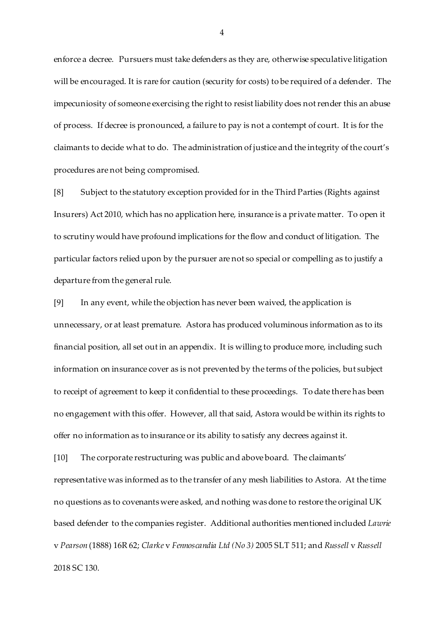enforce a decree. Pursuers must take defenders as they are, otherwise speculative litigation will be encouraged. It is rare for caution (security for costs) to be required of a defender. The impecuniosity of someone exercising the right to resist liability does not render this an abuse of process. If decree is pronounced, a failure to pay is not a contempt of court. It is for the claimants to decide what to do. The administration of justice and the integrity of the court's procedures are not being compromised.

[8] Subject to the statutory exception provided for in the Third Parties (Rights against Insurers) Act 2010, which has no application here, insurance is a private matter. To open it to scrutiny would have profound implications for the flow and conduct of litigation. The particular factors relied upon by the pursuer are not so special or compelling as to justify a departure from the general rule.

[9] In any event, while the objection has never been waived, the application is unnecessary, or at least premature. Astora has produced voluminous information as to its financial position, all set out in an appendix. It is willing to produce more, including such information on insurance cover as is not prevented by the terms of the policies, but subject to receipt of agreement to keep it confidential to these proceedings. To date there has been no engagement with this offer. However, all that said, Astora would be within its rights to offer no information as to insurance or its ability to satisfy any decrees against it.

[10] The corporate restructuring was public and above board. The claimants' representative was informed as to the transfer of any mesh liabilities to Astora. At the time no questions as to covenants were asked, and nothing was done to restore the original UK based defender to the companies register. Additional authorities mentioned included *Lawrie*  v *Pearson* (1888) 16R 62; *Clarke* v *Fennoscandia Ltd (No 3)* 2005 SLT 511; and *Russell* v *Russell*  2018 SC 130.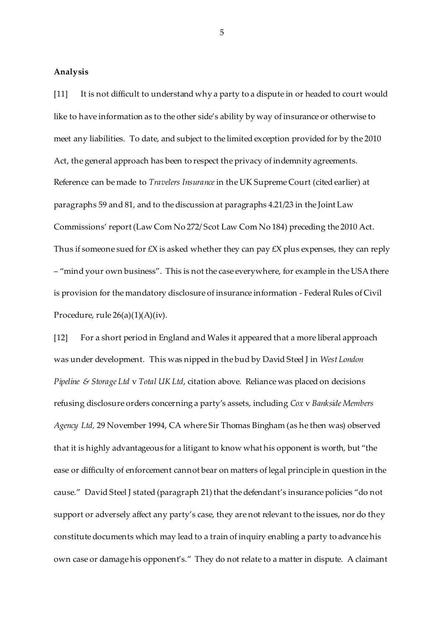#### **Analysis**

[11] It is not difficult to understand why a party to a dispute in or headed to court would like to have information as to the other side's ability by way of insurance or otherwise to meet any liabilities. To date, and subject to the limited exception provided for by the 2010 Act, the general approach has been to respect the privacy of indemnity agreements. Reference can be made to *Travelers Insurance* in the UK Supreme Court (cited earlier) at paragraphs 59 and 81, and to the discussion at paragraphs 4.21/23 in the Joint Law Commissions' report (Law Com No 272/ Scot Law Com No 184) preceding the 2010 Act. Thus if someone sued for  $\pounds X$  is asked whether they can pay  $\pounds X$  plus expenses, they can reply – "mind your own business". This is not the case everywhere, for example in the USA there is provision for the mandatory disclosure of insurance information - Federal Rules of Civil Procedure, rule  $26(a)(1)(A)(iv)$ .

[12] For a short period in England and Wales it appeared that a more liberal approach was under development. This was nipped in the bud by David Steel J in *West London Pipeline & Storage Ltd* v *Total UK Ltd*, citation above. Reliance was placed on decisions refusing disclosure orders concerning a party's assets, including *Cox* v *Bankside Members Agency Ltd,* 29 November 1994, CA where Sir Thomas Bingham (as he then was) observed that it is highly advantageous for a litigant to know what his opponent is worth, but "the ease or difficulty of enforcement cannot bear on matters of legal principle in question in the cause." David Steel J stated (paragraph 21) that the defendant's insurance policies "do not support or adversely affect any party's case, they are not relevant to the issues, nor do they constitute documents which may lead to a train of inquiry enabling a party to advance his own case or damage his opponent's." They do not relate to a matter in dispute. A claimant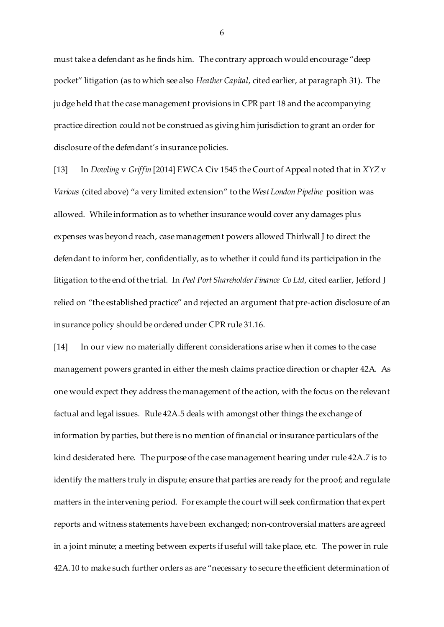must take a defendant as he finds him. The contrary approach would encourage "deep pocket" litigation (as to which see also *Heather Capital*, cited earlier, at paragraph 31). The judge held that the case management provisions in CPR part 18 and the accompanying practice direction could not be construed as giving him jurisdiction to grant an order for disclosure of the defendant's insurance policies.

[13] In *Dowling* v *Griffin* [2014] EWCA Civ 1545 the Court of Appeal noted that in *XYZ* v *Various* (cited above) "a very limited extension" to the *West London Pipeline* position was allowed. While information as to whether insurance would cover any damages plus expenses was beyond reach, case management powers allowed Thirlwall J to direct the defendant to inform her, confidentially, as to whether it could fund its participation in the litigation to the end of the trial. In *Peel Port Shareholder Finance Co Ltd*, cited earlier, Jefford J relied on "the established practice" and rejected an argument that pre-action disclosure of an insurance policy should be ordered under CPR rule 31.16.

[14] In our view no materially different considerations arise when it comes to the case management powers granted in either the mesh claims practice direction or chapter 42A. As one would expect they address the management of the action, with the focus on the relevant factual and legal issues. Rule 42A.5 deals with amongst other things the exchange of information by parties, but there is no mention of financial or insurance particulars of the kind desiderated here. The purpose of the case management hearing under rule 42A.7 is to identify the matters truly in dispute; ensure that parties are ready for the proof; and regulate matters in the intervening period. For example the court will seek confirmation that expert reports and witness statements have been exchanged; non-controversial matters are agreed in a joint minute; a meeting between experts if useful will take place, etc. The power in rule 42A.10 to make such further orders as are "necessary to secure the efficient determination of